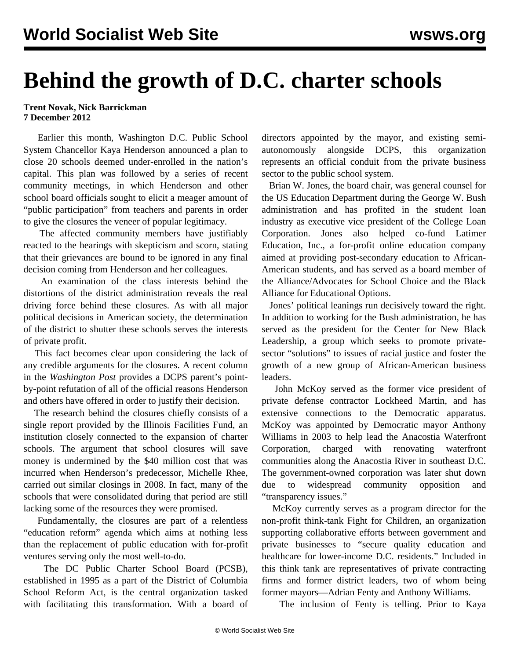## **Behind the growth of D.C. charter schools**

## **Trent Novak, Nick Barrickman 7 December 2012**

 Earlier this month, Washington D.C. Public School System Chancellor Kaya Henderson announced a plan to close 20 schools deemed under-enrolled in the nation's capital. This plan was followed by a series of [recent](/en/articles/2012/nov2012/wash-n30.shtml) [community meetings,](/en/articles/2012/nov2012/wash-n30.shtml) in which Henderson and other school board officials sought to elicit a meager amount of "public participation" from teachers and parents in order to give the closures the veneer of popular legitimacy.

 The affected community members have justifiably reacted to the hearings with skepticism and scorn, stating that their grievances are bound to be ignored in any final decision coming from Henderson and her colleagues.

 An examination of the class interests behind the distortions of the district administration reveals the real driving force behind these closures. As with all major political decisions in American society, the determination of the district to shutter these schools serves the interests of private profit.

 This fact becomes clear upon considering the lack of any credible arguments for the closures. A recent column in the *Washington Post* provides a DCPS parent's pointby-point refutation of all of the official reasons Henderson and others have offered in order to justify their decision.

 The research behind the closures chiefly consists of a single report provided by the Illinois Facilities Fund, an institution closely connected to the expansion of charter schools. The argument that school closures will save money is undermined by the \$40 million cost that was incurred when Henderson's predecessor, Michelle Rhee, carried out similar closings in 2008. In fact, many of the schools that were consolidated during that period are still lacking some of the resources they were promised.

 Fundamentally, the closures are part of a relentless "education reform" agenda which aims at nothing less than the replacement of public education with for-profit ventures serving only the most well-to-do.

 The DC Public Charter School Board (PCSB), established in 1995 as a part of the District of Columbia School Reform Act, is the central organization tasked with facilitating this transformation. With a board of directors appointed by the mayor, and existing semiautonomously alongside DCPS, this organization represents an official conduit from the private business sector to the public school system.

 Brian W. Jones, the board chair, was general counsel for the US Education Department during the George W. Bush administration and has profited in the student loan industry as executive vice president of the College Loan Corporation. Jones also helped co-fund Latimer Education, Inc., a for-profit online education company aimed at providing post-secondary education to African-American students, and has served as a board member of the Alliance/Advocates for School Choice and the Black Alliance for Educational Options.

 Jones' political leanings run decisively toward the right. In addition to working for the Bush administration, he has served as the president for the Center for New Black Leadership, a group which seeks to promote privatesector "solutions" to issues of racial justice and foster the growth of a new group of African-American business leaders.

 John McKoy served as the former vice president of private defense contractor Lockheed Martin, and has extensive connections to the Democratic apparatus. McKoy was appointed by Democratic mayor Anthony Williams in 2003 to help lead the Anacostia Waterfront Corporation, charged with renovating waterfront communities along the Anacostia River in southeast D.C. The government-owned corporation was later shut down due to widespread community opposition and "transparency issues."

 McKoy currently serves as a program director for the non-profit think-tank Fight for Children, an organization supporting collaborative efforts between government and private businesses to "secure quality education and healthcare for lower-income D.C. residents." Included in this think tank are representatives of private contracting firms and former district leaders, two of whom being former mayors—Adrian Fenty and Anthony Williams.

The inclusion of Fenty is telling. Prior to Kaya